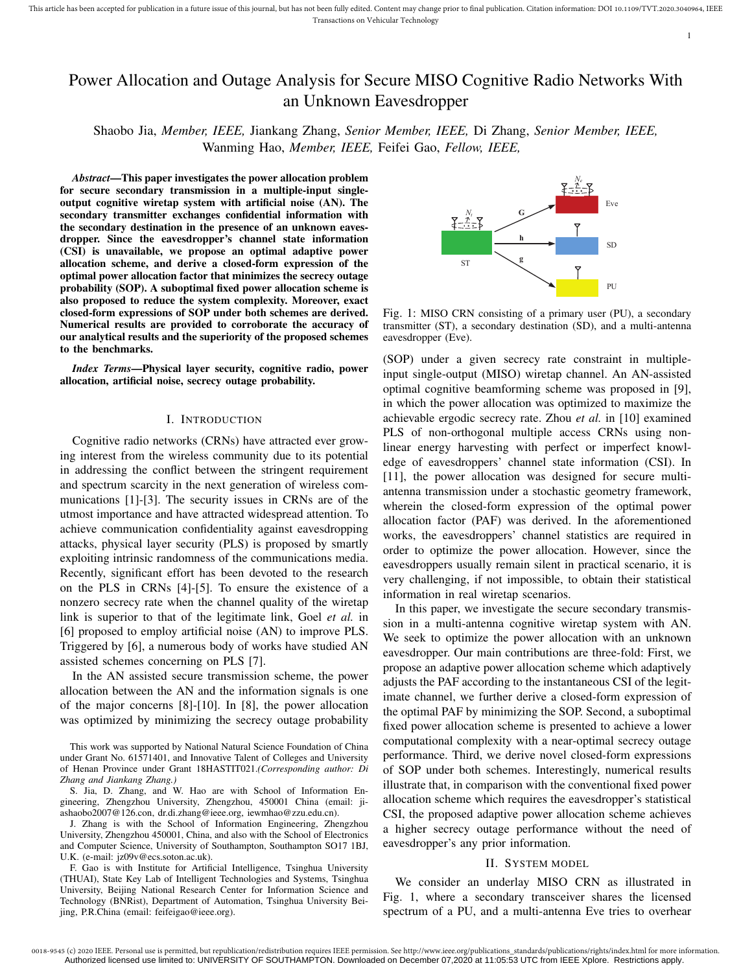1

# Power Allocation and Outage Analysis for Secure MISO Cognitive Radio Networks With an Unknown Eavesdropper

Shaobo Jia, *Member, IEEE,* Jiankang Zhang, *Senior Member, IEEE,* Di Zhang, *Senior Member, IEEE,* Wanming Hao, *Member, IEEE,* Feifei Gao, *Fellow, IEEE,*

*Abstract*—This paper investigates the power allocation problem for secure secondary transmission in a multiple-input singleoutput cognitive wiretap system with artificial noise (AN). The secondary transmitter exchanges confidential information with the secondary destination in the presence of an unknown eavesdropper. Since the eavesdropper's channel state information (CSI) is unavailable, we propose an optimal adaptive power allocation scheme, and derive a closed-form expression of the optimal power allocation factor that minimizes the secrecy outage probability (SOP). A suboptimal fixed power allocation scheme is also proposed to reduce the system complexity. Moreover, exact closed-form expressions of SOP under both schemes are derived. Numerical results are provided to corroborate the accuracy of our analytical results and the superiority of the proposed schemes to the benchmarks.

*Index Terms*—Physical layer security, cognitive radio, power allocation, artificial noise, secrecy outage probability.

## I. INTRODUCTION

Cognitive radio networks (CRNs) have attracted ever growing interest from the wireless community due to its potential in addressing the conflict between the stringent requirement and spectrum scarcity in the next generation of wireless communications [1]-[3]. The security issues in CRNs are of the utmost importance and have attracted widespread attention. To achieve communication confidentiality against eavesdropping attacks, physical layer security (PLS) is proposed by smartly exploiting intrinsic randomness of the communications media. Recently, significant effort has been devoted to the research on the PLS in CRNs [4]-[5]. To ensure the existence of a nonzero secrecy rate when the channel quality of the wiretap link is superior to that of the legitimate link, Goel *et al.* in [6] proposed to employ artificial noise (AN) to improve PLS. Triggered by [6], a numerous body of works have studied AN assisted schemes concerning on PLS [7].

In the AN assisted secure transmission scheme, the power allocation between the AN and the information signals is one of the major concerns [8]-[10]. In [8], the power allocation was optimized by minimizing the secrecy outage probability

This work was supported by National Natural Science Foundation of China under Grant No. 61571401, and Innovative Talent of Colleges and University of Henan Province under Grant 18HASTIT021.*(Corresponding author: Di Zhang and Jiankang Zhang.)*

S. Jia, D. Zhang, and W. Hao are with School of Information Engineering, Zhengzhou University, Zhengzhou, 450001 China (email: jiashaobo2007@126.con, dr.di.zhang@ieee.org, iewmhao@zzu.edu.cn).

J. Zhang is with the School of Information Engineering, Zhengzhou University, Zhengzhou 450001, China, and also with the School of Electronics and Computer Science, University of Southampton, Southampton SO17 1BJ, U.K. (e-mail: jz09v@ecs.soton.ac.uk).

F. Gao is with Institute for Artificial Intelligence, Tsinghua University (THUAI), State Key Lab of Intelligent Technologies and Systems, Tsinghua University, Beijing National Research Center for Information Science and Technology (BNRist), Department of Automation, Tsinghua University Beijing, P.R.China (email: feifeigao@ieee.org).



Fig. 1: MISO CRN consisting of a primary user (PU), a secondary transmitter (ST), a secondary destination (SD), and a multi-antenna eavesdropper (Eve).

(SOP) under a given secrecy rate constraint in multipleinput single-output (MISO) wiretap channel. An AN-assisted optimal cognitive beamforming scheme was proposed in [9], in which the power allocation was optimized to maximize the achievable ergodic secrecy rate. Zhou *et al.* in [10] examined PLS of non-orthogonal multiple access CRNs using nonlinear energy harvesting with perfect or imperfect knowledge of eavesdroppers' channel state information (CSI). In [11], the power allocation was designed for secure multiantenna transmission under a stochastic geometry framework, wherein the closed-form expression of the optimal power allocation factor (PAF) was derived. In the aforementioned works, the eavesdroppers' channel statistics are required in order to optimize the power allocation. However, since the eavesdroppers usually remain silent in practical scenario, it is very challenging, if not impossible, to obtain their statistical information in real wiretap scenarios.

In this paper, we investigate the secure secondary transmission in a multi-antenna cognitive wiretap system with AN. We seek to optimize the power allocation with an unknown eavesdropper. Our main contributions are three-fold: First, we propose an adaptive power allocation scheme which adaptively adjusts the PAF according to the instantaneous CSI of the legitimate channel, we further derive a closed-form expression of the optimal PAF by minimizing the SOP. Second, a suboptimal fixed power allocation scheme is presented to achieve a lower computational complexity with a near-optimal secrecy outage performance. Third, we derive novel closed-form expressions of SOP under both schemes. Interestingly, numerical results illustrate that, in comparison with the conventional fixed power allocation scheme which requires the eavesdropper's statistical CSI, the proposed adaptive power allocation scheme achieves a higher secrecy outage performance without the need of eavesdropper's any prior information.

#### II. SYSTEM MODEL

We consider an underlay MISO CRN as illustrated in Fig. 1, where a secondary transceiver shares the licensed spectrum of a PU, and a multi-antenna Eve tries to overhear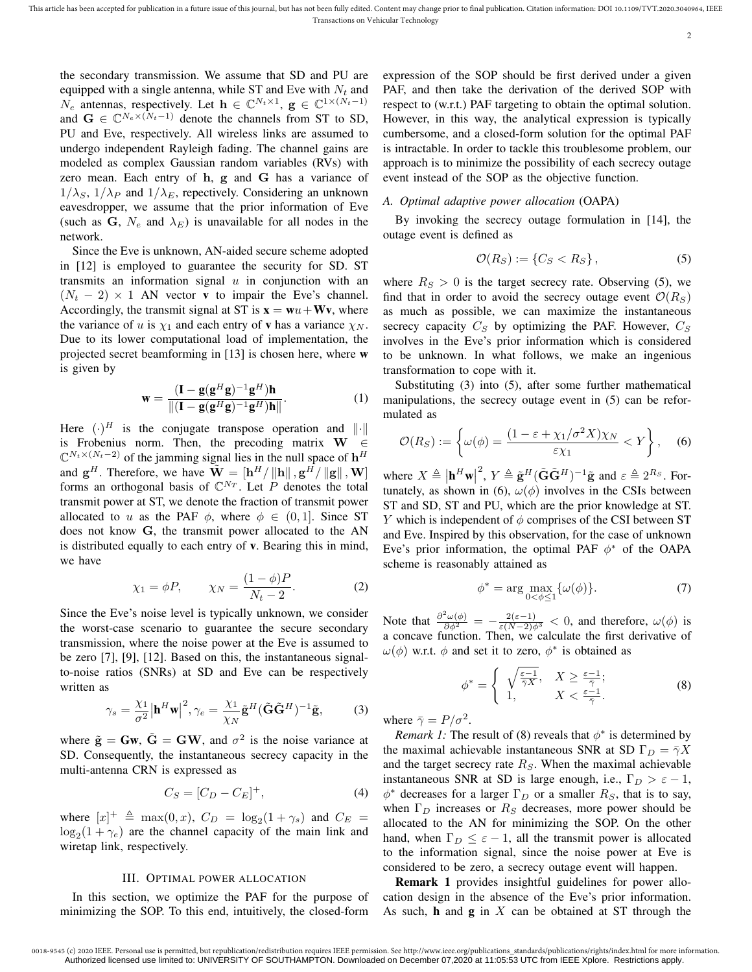2

the secondary transmission. We assume that SD and PU are equipped with a single antenna, while ST and Eve with  $N_t$  and  $N_e$  antennas, respectively. Let  $\mathbf{h} \in \mathbb{C}^{N_t \times 1}$ ,  $\mathbf{g} \in \mathbb{C}^{1 \times (N_t-1)}$ and  $G \in \mathbb{C}^{N_e \times (N_t-1)}$  denote the channels from ST to SD, PU and Eve, respectively. All wireless links are assumed to undergo independent Rayleigh fading. The channel gains are modeled as complex Gaussian random variables (RVs) with zero mean. Each entry of h, g and G has a variance of  $1/\lambda_S$ ,  $1/\lambda_P$  and  $1/\lambda_E$ , repectively. Considering an unknown eavesdropper, we assume that the prior information of Eve (such as G,  $N_e$  and  $\lambda_E$ ) is unavailable for all nodes in the network.

Since the Eve is unknown, AN-aided secure scheme adopted in [12] is employed to guarantee the security for SD. ST transmits an information signal  $u$  in conjunction with an  $(N<sub>t</sub> - 2) \times 1$  AN vector v to impair the Eve's channel. Accordingly, the transmit signal at ST is  $\mathbf{x} = \mathbf{w}u + \mathbf{W}\mathbf{v}$ , where the variance of u is  $\chi_1$  and each entry of **v** has a variance  $\chi_N$ . Due to its lower computational load of implementation, the projected secret beamforming in [13] is chosen here, where w is given by

$$
\mathbf{w} = \frac{(\mathbf{I} - \mathbf{g}(\mathbf{g}^H \mathbf{g})^{-1} \mathbf{g}^H) \mathbf{h}}{\|(\mathbf{I} - \mathbf{g}(\mathbf{g}^H \mathbf{g})^{-1} \mathbf{g}^H) \mathbf{h}\|}.
$$
 (1)

Here  $(\cdot)^H$  is the conjugate transpose operation and  $\|\cdot\|$ is Frobenius norm. Then, the precoding matrix  $W \in$  $\mathbb{C}^{N_t \times (N_t-2)}$  of the jamming signal lies in the null space of  $\mathbf{h}^H$ and  $\mathbf{g}^H$ . Therefore, we have  $\tilde{\mathbf{W}} = [\mathbf{h}^H / ||\mathbf{h}||, \mathbf{g}^H / ||\mathbf{g}||, \mathbf{W}]$ forms an orthogonal basis of  $\mathbb{C}^{N_T}$ . Let P denotes the total transmit power at ST, we denote the fraction of transmit power allocated to u as the PAF  $\phi$ , where  $\phi \in (0, 1]$ . Since ST does not know G, the transmit power allocated to the AN is distributed equally to each entry of v. Bearing this in mind, we have

$$
\chi_1 = \phi P, \qquad \chi_N = \frac{(1 - \phi)P}{N_t - 2}.
$$
\n(2)

Since the Eve's noise level is typically unknown, we consider the worst-case scenario to guarantee the secure secondary transmission, where the noise power at the Eve is assumed to be zero [7], [9], [12]. Based on this, the instantaneous signalto-noise ratios (SNRs) at SD and Eve can be respectively written as

$$
\gamma_s = \frac{\chi_1}{\sigma^2} \left| \mathbf{h}^H \mathbf{w} \right|^2, \gamma_e = \frac{\chi_1}{\chi_N} \tilde{\mathbf{g}}^H (\tilde{\mathbf{G}} \tilde{\mathbf{G}}^H)^{-1} \tilde{\mathbf{g}}, \tag{3}
$$

where  $\tilde{\mathbf{g}} = \mathbf{G}\mathbf{w}$ ,  $\tilde{\mathbf{G}} = \mathbf{G}\mathbf{W}$ , and  $\sigma^2$  is the noise variance at SD. Consequently, the instantaneous secrecy capacity in the multi-antenna CRN is expressed as

$$
C_S = [C_D - C_E]^+, \tag{4}
$$

where  $[x]^+ \triangleq \max(0, x)$ ,  $C_D = \log_2(1 + \gamma_s)$  and  $C_E$  =  $log_2(1 + \gamma_e)$  are the channel capacity of the main link and wiretap link, respectively.

## III. OPTIMAL POWER ALLOCATION

In this section, we optimize the PAF for the purpose of minimizing the SOP. To this end, intuitively, the closed-form expression of the SOP should be first derived under a given PAF, and then take the derivation of the derived SOP with respect to (w.r.t.) PAF targeting to obtain the optimal solution. However, in this way, the analytical expression is typically cumbersome, and a closed-form solution for the optimal PAF is intractable. In order to tackle this troublesome problem, our approach is to minimize the possibility of each secrecy outage event instead of the SOP as the objective function.

# *A. Optimal adaptive power allocation* (OAPA)

By invoking the secrecy outage formulation in [14], the outage event is defined as

$$
\mathcal{O}(R_S) := \{ C_S < R_S \},\tag{5}
$$

where  $R_S > 0$  is the target secrecy rate. Observing (5), we find that in order to avoid the secrecy outage event  $\mathcal{O}(R_S)$ as much as possible, we can maximize the instantaneous secrecy capacity  $C_S$  by optimizing the PAF. However,  $C_S$ involves in the Eve's prior information which is considered to be unknown. In what follows, we make an ingenious transformation to cope with it.

Substituting (3) into (5), after some further mathematical manipulations, the secrecy outage event in (5) can be reformulated as

$$
\mathcal{O}(R_S) := \left\{ \omega(\phi) = \frac{(1 - \varepsilon + \chi_1/\sigma^2 X)\chi_N}{\varepsilon \chi_1} < Y \right\},\tag{6}
$$

where  $X \triangleq |\mathbf{h}^H \mathbf{w}|$ <sup>2</sup>,  $Y \triangleq \tilde{\mathbf{g}}^H(\tilde{\mathbf{G}}\tilde{\mathbf{G}}^H)^{-1}\tilde{\mathbf{g}}$  and  $\varepsilon \triangleq 2^{R_S}$ . Fortunately, as shown in (6),  $\omega(\phi)$  involves in the CSIs between ST and SD, ST and PU, which are the prior knowledge at ST. Y which is independent of  $\phi$  comprises of the CSI between ST and Eve. Inspired by this observation, for the case of unknown Eve's prior information, the optimal PAF  $\phi^*$  of the OAPA scheme is reasonably attained as

$$
\phi^* = \arg \max_{0 < \phi \le 1} \{ \omega(\phi) \}. \tag{7}
$$

Note that  $\frac{\partial^2 \omega(\phi)}{\partial \phi^2} = -\frac{2(\varepsilon - 1)}{\varepsilon (N-2) \phi^3} < 0$ , and therefore,  $\omega(\phi)$  is a concave function. Then, we calculate the first derivative of  $\omega(\phi)$  w.r.t.  $\phi$  and set it to zero,  $\phi^*$  is obtained as

$$
\phi^* = \begin{cases} \sqrt{\frac{\varepsilon - 1}{\bar{\gamma}X}}, & X \ge \frac{\varepsilon - 1}{\bar{\gamma}};\\ 1, & X < \frac{\varepsilon - 1}{\bar{\gamma}}. \end{cases} \tag{8}
$$

where  $\bar{\gamma} = P/\sigma^2$ .

*Remark 1:* The result of (8) reveals that  $\phi^*$  is determined by the maximal achievable instantaneous SNR at SD  $\Gamma_D = \overline{\gamma}X$ and the target secrecy rate  $R<sub>S</sub>$ . When the maximal achievable instantaneous SNR at SD is large enough, i.e.,  $\Gamma_D > \varepsilon - 1$ ,  $\phi^*$  decreases for a larger  $\Gamma_D$  or a smaller  $R_S$ , that is to say, when  $\Gamma_D$  increases or  $R_S$  decreases, more power should be allocated to the AN for minimizing the SOP. On the other hand, when  $\Gamma_D \leq \varepsilon - 1$ , all the transmit power is allocated to the information signal, since the noise power at Eve is considered to be zero, a secrecy outage event will happen.

Remark 1 provides insightful guidelines for power allocation design in the absence of the Eve's prior information. As such, **h** and  $g$  in  $X$  can be obtained at ST through the

<sup>0018-9545 (</sup>c) 2020 IEEE. Personal use is permitted, but republication/redistribution requires IEEE permission. See http://www.ieee.org/publications\_standards/publications/rights/index.html for more information. Authorized licensed use limited to: UNIVERSITY OF SOUTHAMPTON. Downloaded on December 07,2020 at 11:05:53 UTC from IEEE Xplore. Restrictions apply.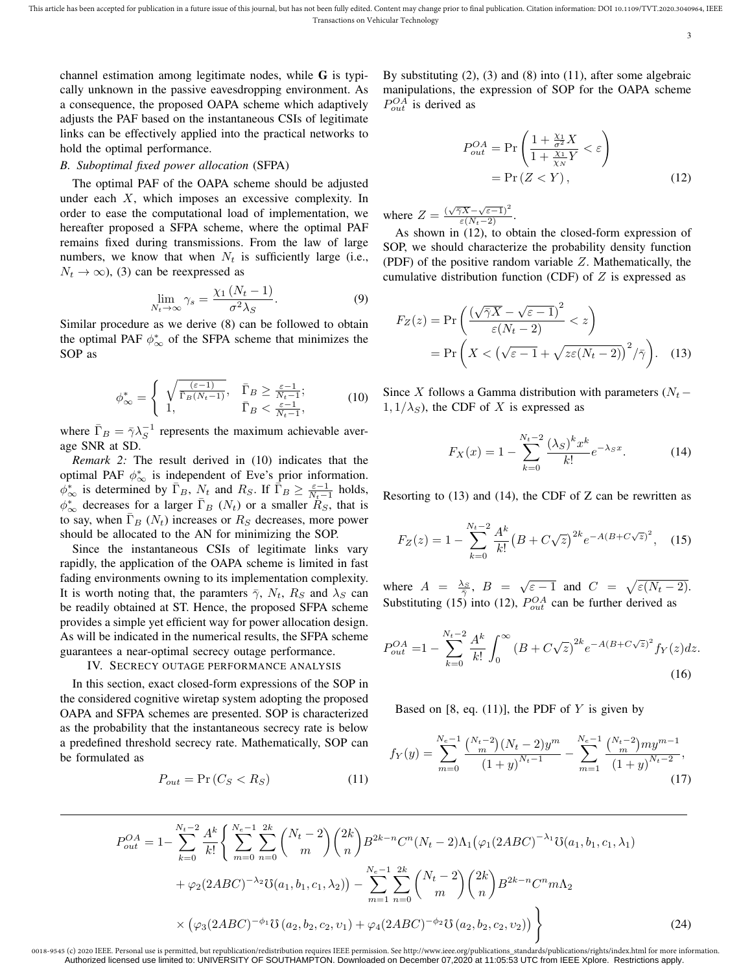This article has been accepted for publication in a future issue of this journal, but has not been fully edited. Content may change prior to final publication. Citation information: DOI 10.1109/TVT.2020.3040964, IEEE Transactions on Vehicular Technology

3

channel estimation among legitimate nodes, while G is typically unknown in the passive eavesdropping environment. As a consequence, the proposed OAPA scheme which adaptively adjusts the PAF based on the instantaneous CSIs of legitimate links can be effectively applied into the practical networks to hold the optimal performance.

# *B. Suboptimal fixed power allocation* (SFPA)

The optimal PAF of the OAPA scheme should be adjusted under each  $X$ , which imposes an excessive complexity. In order to ease the computational load of implementation, we hereafter proposed a SFPA scheme, where the optimal PAF remains fixed during transmissions. From the law of large numbers, we know that when  $N_t$  is sufficiently large (i.e.,  $N_t \rightarrow \infty$ ), (3) can be reexpressed as

$$
\lim_{N_t \to \infty} \gamma_s = \frac{\chi_1 \left(N_t - 1\right)}{\sigma^2 \lambda_S}.
$$
\n(9)

Similar procedure as we derive (8) can be followed to obtain the optimal PAF  $\phi_{\infty}^*$  of the SFPA scheme that minimizes the SOP as

$$
\phi_{\infty}^* = \begin{cases} \sqrt{\frac{(\varepsilon - 1)}{\Gamma_B(N_t - 1)}}, & \bar{\Gamma}_B \ge \frac{\varepsilon - 1}{N_t - 1}; \\ 1, & \bar{\Gamma}_B < \frac{\varepsilon - 1}{N_t - 1}, \end{cases} \tag{10}
$$

where  $\bar{\Gamma}_B = \bar{\gamma} \lambda_S^{-1}$  represents the maximum achievable average SNR at SD.

*Remark 2:* The result derived in (10) indicates that the optimal PAF  $\phi^*_{\infty}$  is independent of Eve's prior information.  $\phi_{\infty}^*$  is determined by  $\overline{\Gamma}_B$ ,  $N_t$  and  $R_S$ . If  $\overline{\Gamma}_B \ge \frac{\varepsilon - 1}{N_t - 1}$  holds,  $\phi_{\infty}^*$  decreases for a larger  $\bar{\Gamma}_B$  ( $N_t$ ) or a smaller  $\bar{R}_S$ , that is to say, when  $\overline{\Gamma}_B(N_t)$  increases or  $R_S$  decreases, more power should be allocated to the AN for minimizing the SOP.

Since the instantaneous CSIs of legitimate links vary rapidly, the application of the OAPA scheme is limited in fast fading environments owning to its implementation complexity. It is worth noting that, the paramters  $\bar{\gamma}$ ,  $N_t$ ,  $R_s$  and  $\lambda_s$  can be readily obtained at ST. Hence, the proposed SFPA scheme provides a simple yet efficient way for power allocation design. As will be indicated in the numerical results, the SFPA scheme guarantees a near-optimal secrecy outage performance.

# IV. SECRECY OUTAGE PERFORMANCE ANALYSIS

In this section, exact closed-form expressions of the SOP in the considered cognitive wiretap system adopting the proposed OAPA and SFPA schemes are presented. SOP is characterized as the probability that the instantaneous secrecy rate is below a predefined threshold secrecy rate. Mathematically, SOP can be formulated as

$$
P_{out} = \Pr(C_S < R_S) \tag{11}
$$

By substituting (2), (3) and (8) into (11), after some algebraic manipulations, the expression of SOP for the OAPA scheme  $P_{out}^{OA}$  is derived as

$$
P_{out}^{OA} = \Pr\left(\frac{1 + \frac{\chi_1}{\sigma^2} X}{1 + \frac{\chi_1}{\chi_N} Y} < \varepsilon\right)
$$
\n
$$
= \Pr\left(Z < Y\right),\tag{12}
$$

where  $Z = \frac{(\sqrt{\overline{\gamma}X} - \sqrt{\varepsilon - 1})^2}{\varepsilon(N_t - 2)}$ .

As shown in (12), to obtain the closed-form expression of SOP, we should characterize the probability density function (PDF) of the positive random variable  $Z$ . Mathematically, the cumulative distribution function (CDF) of  $Z$  is expressed as

$$
F_Z(z) = \Pr\left(\frac{(\sqrt{\bar{\gamma}X} - \sqrt{\varepsilon - 1})^2}{\varepsilon(N_t - 2)} < z\right)
$$
  
= 
$$
\Pr\left(X < (\sqrt{\varepsilon - 1} + \sqrt{z\varepsilon(N_t - 2)})^2/\bar{\gamma}\right).
$$
 (13)

Since X follows a Gamma distribution with parameters ( $N_t$  –  $1, 1/\lambda_S$ , the CDF of X is expressed as

$$
F_X(x) = 1 - \sum_{k=0}^{N_t - 2} \frac{(\lambda_S)^k x^k}{k!} e^{-\lambda_S x}.
$$
 (14)

Resorting to  $(13)$  and  $(14)$ , the CDF of Z can be rewritten as

$$
F_Z(z) = 1 - \sum_{k=0}^{N_t - 2} \frac{A^k}{k!} \left( B + C\sqrt{z} \right)^{2k} e^{-A(B + C\sqrt{z})^2}, \quad (15)
$$

where  $A = \frac{\lambda_S}{\overline{\gamma}}, B = \sqrt{\varepsilon - 1}$  and  $C = \sqrt{\varepsilon (N_t - 2)}$ . Substituting (15) into (12),  $P_{out}^{OA}$  can be further derived as

$$
P_{out}^{OA} = 1 - \sum_{k=0}^{N_t - 2} \frac{A^k}{k!} \int_0^\infty (B + C\sqrt{z})^{2k} e^{-A(B + C\sqrt{z})^2} f_Y(z) dz.
$$
\n(16)

Based on [8, eq. (11)], the PDF of  $Y$  is given by

$$
f_Y(y) = \sum_{m=0}^{N_c-1} \frac{\binom{N_t-2}{m} (N_t-2) y^m}{(1+y)^{N_t-1}} - \sum_{m=1}^{N_c-1} \frac{\binom{N_t-2}{m} m y^{m-1}}{(1+y)^{N_t-2}},\tag{17}
$$

$$
P_{out}^{OA} = 1 - \sum_{k=0}^{N_t - 2} \frac{A^k}{k!} \left\{ \sum_{m=0}^{N_e - 1} \sum_{n=0}^{2k} \binom{N_t - 2}{m} \binom{2k}{n} B^{2k-n} C^n (N_t - 2) \Lambda_1 (\varphi_1 (2ABC)^{-\lambda_1} \mathbb{U}(a_1, b_1, c_1, \lambda_1)) + \varphi_2 (2ABC)^{-\lambda_2} \mathbb{U}(a_1, b_1, c_1, \lambda_2)) - \sum_{m=1}^{N_e - 1} \sum_{n=0}^{2k} \binom{N_t - 2}{m} \binom{2k}{n} B^{2k-n} C^n m \Lambda_2 \times (\varphi_3 (2ABC)^{-\phi_1} \mathbb{U}(a_2, b_2, c_2, v_1) + \varphi_4 (2ABC)^{-\phi_2} \mathbb{U}(a_2, b_2, c_2, v_2)) \right\}
$$
(24)

P

0018-9545 (c) 2020 IEEE. Personal use is permitted, but republication/redistribution requires IEEE permission. See http://www.ieee.org/publications\_standards/publications/rights/index.html for more information. Authorized licensed use limited to: UNIVERSITY OF SOUTHAMPTON. Downloaded on December 07,2020 at 11:05:53 UTC from IEEE Xplore. Restrictions apply.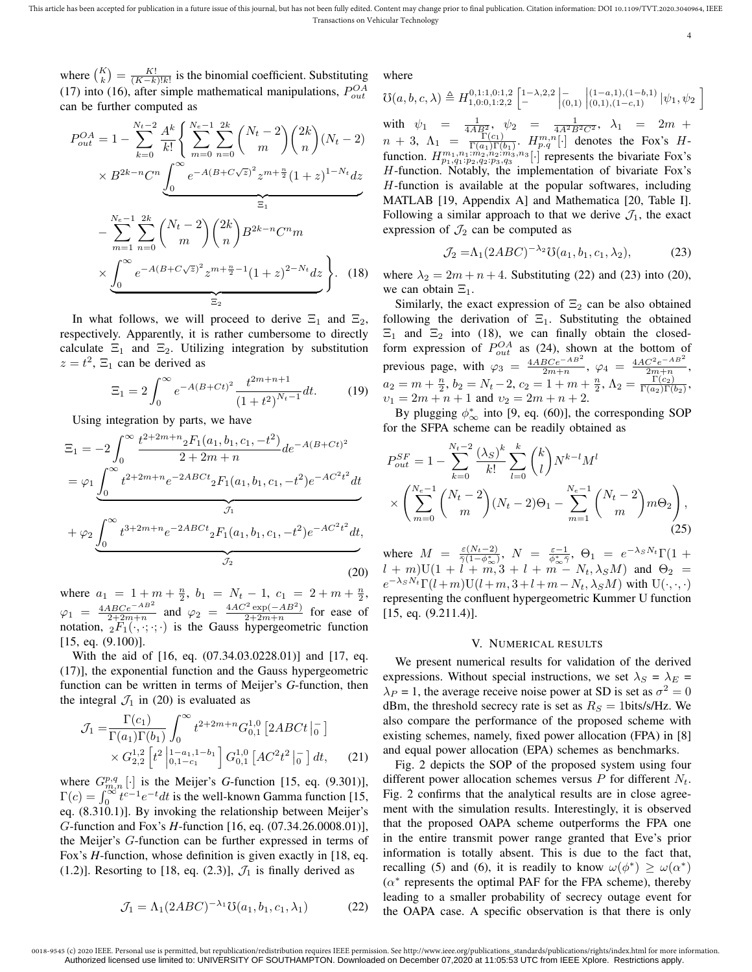where  $\binom{K}{k} = \frac{K!}{(K-k)!k!}$  is the binomial coefficient. Substituting (17) into (16), after simple mathematical manipulations,  $P_{out}^{OA}$ can be further computed as

$$
P_{out}^{OA} = 1 - \sum_{k=0}^{N_t - 2} \frac{A^k}{k!} \left\{ \sum_{m=0}^{N_e - 1} \sum_{n=0}^{2k} \binom{N_t - 2}{m} \binom{2k}{n} (N_t - 2) \right. \times B^{2k - n} C^n \underbrace{\int_0^\infty e^{-A(B + C\sqrt{z})^2} z^{m + \frac{n}{2}} (1 + z)^{1 - N_t} dz}_{\equiv_1} - \sum_{m=1}^{N_e - 1} \sum_{n=0}^{2k} \binom{N_t - 2}{m} \binom{2k}{n} B^{2k - n} C^n m \times \underbrace{\int_0^\infty e^{-A(B + C\sqrt{z})^2} z^{m + \frac{n}{2} - 1} (1 + z)^{2 - N_t} dz}_{\equiv_2}.
$$
 (18)

In what follows, we will proceed to derive  $\Xi_1$  and  $\Xi_2$ , respectively. Apparently, it is rather cumbersome to directly calculate  $\Xi_1$  and  $\Xi_2$ . Utilizing integration by substitution  $z = t^2$ ,  $\Xi_1$  can be derived as

$$
\Xi_1 = 2 \int_0^\infty e^{-A(B+Ct)^2} \frac{t^{2m+n+1}}{(1+t^2)^{N_t-1}} dt.
$$
 (19)

Using integration by parts, we have

$$
\Xi_{1} = -2 \int_{0}^{\infty} \frac{t^{2+2m+n} {}_{2}F_{1}(a_{1}, b_{1}, c_{1}, -t^{2})}{2+2m+n} de^{-A(B+Ct)^{2}}
$$
\n
$$
= \varphi_{1} \underbrace{\int_{0}^{\infty} t^{2+2m+n} e^{-2ABCt} {}_{2}F_{1}(a_{1}, b_{1}, c_{1}, -t^{2}) e^{-AC^{2}t^{2}} dt}_{\mathcal{J}_{1}}
$$
\n
$$
+ \varphi_{2} \underbrace{\int_{0}^{\infty} t^{3+2m+n} e^{-2ABCt} {}_{2}F_{1}(a_{1}, b_{1}, c_{1}, -t^{2}) e^{-AC^{2}t^{2}} dt}_{\mathcal{J}_{2}},
$$
\n(20)

where  $a_1 = 1 + m + \frac{n}{2}$ ,  $b_1 = N_t - 1$ ,  $c_1 = 2 + m + \frac{n}{2}$ ,  $\varphi_1 = \frac{4ABCe^{-AB^2}}{2+2m+n}$  and  $\varphi_2 = \frac{4AC^2 \exp(-AB^2)}{2+2m+n}$  $\frac{\exp(-AB)}{2+2m+n}$  for ease of notation,  ${}_2F_1(\cdot,\cdot;\cdot;\cdot)$  is the Gauss hypergeometric function [15, eq. (9.100)].

With the aid of [16, eq. (07.34.03.0228.01)] and [17, eq. (17)], the exponential function and the Gauss hypergeometric function can be written in terms of Meijer's *G*-function, then the integral  $\mathcal{J}_1$  in (20) is evaluated as

$$
\mathcal{J}_1 = \frac{\Gamma(c_1)}{\Gamma(a_1)\Gamma(b_1)} \int_0^\infty t^{2+2m+n} G_{0,1}^{1,0} \left[ 2ABC t \, \middle|_0^- \right] \times G_{2,2}^{1,2} \left[ t^2 \, \middle|_{0,1-c_1}^{1-a_1,1-b_1} \right] G_{0,1}^{1,0} \left[ AC^2 t^2 \, \middle|_0^- \right] dt, \tag{21}
$$

where  $G_{m,n}^{p,q}$  [·] is the Meijer's *G*-function [15, eq. (9.301)],  $\Gamma(c) = \int_0^{\infty} t^{c-1} e^{-t} dt$  is the well-known Gamma function [15, eq. (8.310.1)]. By invoking the relationship between Meijer's G-function and Fox's *H*-function [16, eq. (07.34.26.0008.01)], the Meijer's G-function can be further expressed in terms of Fox's *H*-function, whose definition is given exactly in [18, eq. (1.2)]. Resorting to [18, eq. (2.3)],  $\mathcal{J}_1$  is finally derived as

$$
\mathcal{J}_1 = \Lambda_1 (2ABC)^{-\lambda_1} \mathcal{O}(a_1, b_1, c_1, \lambda_1) \tag{22}
$$

where

$$
\mathcal{O}(a, b, c, \lambda) \triangleq H_{1,0:0,1:2,2}^{0,1:1,0:1,2} \begin{bmatrix} 1-\lambda,2,2 \\ - \end{bmatrix} \begin{bmatrix} -(1-a,1),(1-b,1) \\ (0,1),(1-c,1) \end{bmatrix} |\psi_1, \psi_2
$$
  
with  $\psi_1 = \frac{1}{4AB^2}, \psi_2 = \frac{1}{4A^2B^2C^2}, \lambda_1 = 2m + n + 3, \Lambda_1 = \frac{\Gamma(a_1)\Gamma(b_1)}{\Gamma(a_1)\Gamma(b_1)}. H_{p,q}^{m,n}[\cdot]$  denotes the Fox's *H*-  
function.  $H_{p_1,q_1,p_2,q_2,p_3,q_3}^{m_1,m_2,m_3,n_3}[\cdot]$  represents the bivariate Fox's *H*-  
function. Notably, the implementation of bivariate Fox's *H*-function is available at the popular software, including  
MATLAB [19, Appendix A] and Mathematica [20, Table I].  
Following a similar approach to that we derive  $\mathcal{J}_1$ , the exact  
expression of  $\mathcal{J}_2$  can be computed as

$$
\mathcal{J}_2 = \Lambda_1(2ABC)^{-\lambda_2} \mathcal{O}(a_1, b_1, c_1, \lambda_2),\tag{23}
$$

4

i

where  $\lambda_2 = 2m + n + 4$ . Substituting (22) and (23) into (20), we can obtain  $\Xi_1$ .

Similarly, the exact expression of  $\Xi_2$  can be also obtained following the derivation of  $\Xi_1$ . Substituting the obtained  $\Xi_1$  and  $\Xi_2$  into (18), we can finally obtain the closedform expression of  $P_{out}^{OA}$  as (24), shown at the bottom of previous page, with  $\varphi_3 = \frac{4ABCe^{-AB^2}}{2m+n}$ ,  $\varphi_4 = \frac{4AC^2e^{-AB^2}}{2m+n}$  $\frac{C^*e^{-i\omega}}{2m+n}$ ,  $a_2 = m + \frac{n}{2}, b_2 = N_t - 2, c_2 = 1 + m + \frac{n}{2}, \Lambda_2 = \frac{\Gamma(c_2)}{\Gamma(a_2)\Gamma(b_2)}$  $\frac{1(c_2)}{\Gamma(a_2)\Gamma(b_2)}$  $v_1 = 2m + n + 1$  and  $v_2 = 2m + n + 2$ .

By plugging  $\phi_{\infty}^*$  into [9, eq. (60)], the corresponding SOP for the SFPA scheme can be readily obtained as

$$
P_{out}^{SF} = 1 - \sum_{k=0}^{N_t - 2} \frac{(\lambda_S)^k}{k!} \sum_{l=0}^k {k \choose l} N^{k-l} M^l
$$
  
 
$$
\times \left( \sum_{m=0}^{N_e - 1} {N_t - 2 \choose m} (N_t - 2)\Theta_1 - \sum_{m=1}^{N_e - 1} {N_t - 2 \choose m} m \Theta_2 \right),
$$
 (25)

where  $M = \frac{\varepsilon (N_t - 2)}{\tilde{\gamma}(1 - \phi_{\infty}^*)}$ ,  $N = \frac{\varepsilon - 1}{\phi_{\infty}^* \tilde{\gamma}}$ ,  $\Theta_1 = e^{-\lambda_S N_t} \Gamma(1 +$  $l + m$ )U(1 + l + m, 3 + l + m -  $N_t$ ,  $\lambda_S M$ ) and  $\Theta_2$  =  $e^{-\lambda_S N_t} \Gamma(l+m) U(l+m, 3+l+m-N_t, \lambda_S M)$  with  $U(\cdot, \cdot, \cdot)$ representing the confluent hypergeometric Kummer U function [15, eq. (9.211.4)].

#### V. NUMERICAL RESULTS

We present numerical results for validation of the derived expressions. Without special instructions, we set  $\lambda_S = \lambda_E =$  $\lambda_P = 1$ , the average receive noise power at SD is set as  $\sigma^2 = 0$ dBm, the threshold secrecy rate is set as  $R<sub>S</sub> = 1$ bits/s/Hz. We also compare the performance of the proposed scheme with existing schemes, namely, fixed power allocation (FPA) in [8] and equal power allocation (EPA) schemes as benchmarks.

Fig. 2 depicts the SOP of the proposed system using four different power allocation schemes versus  $P$  for different  $N_t$ . Fig. 2 confirms that the analytical results are in close agreement with the simulation results. Interestingly, it is observed that the proposed OAPA scheme outperforms the FPA one in the entire transmit power range granted that Eve's prior information is totally absent. This is due to the fact that, recalling (5) and (6), it is readily to know  $\omega(\phi^*) \geq \omega(\alpha^*)$  $(\alpha^*$  represents the optimal PAF for the FPA scheme), thereby leading to a smaller probability of secrecy outage event for the OAPA case. A specific observation is that there is only

0018-9545 (c) 2020 IEEE. Personal use is permitted, but republication/redistribution requires IEEE permission. See http://www.ieee.org/publications\_standards/publications/rights/index.html for more information. Authorized licensed use limited to: UNIVERSITY OF SOUTHAMPTON. Downloaded on December 07,2020 at 11:05:53 UTC from IEEE Xplore. Restrictions apply.